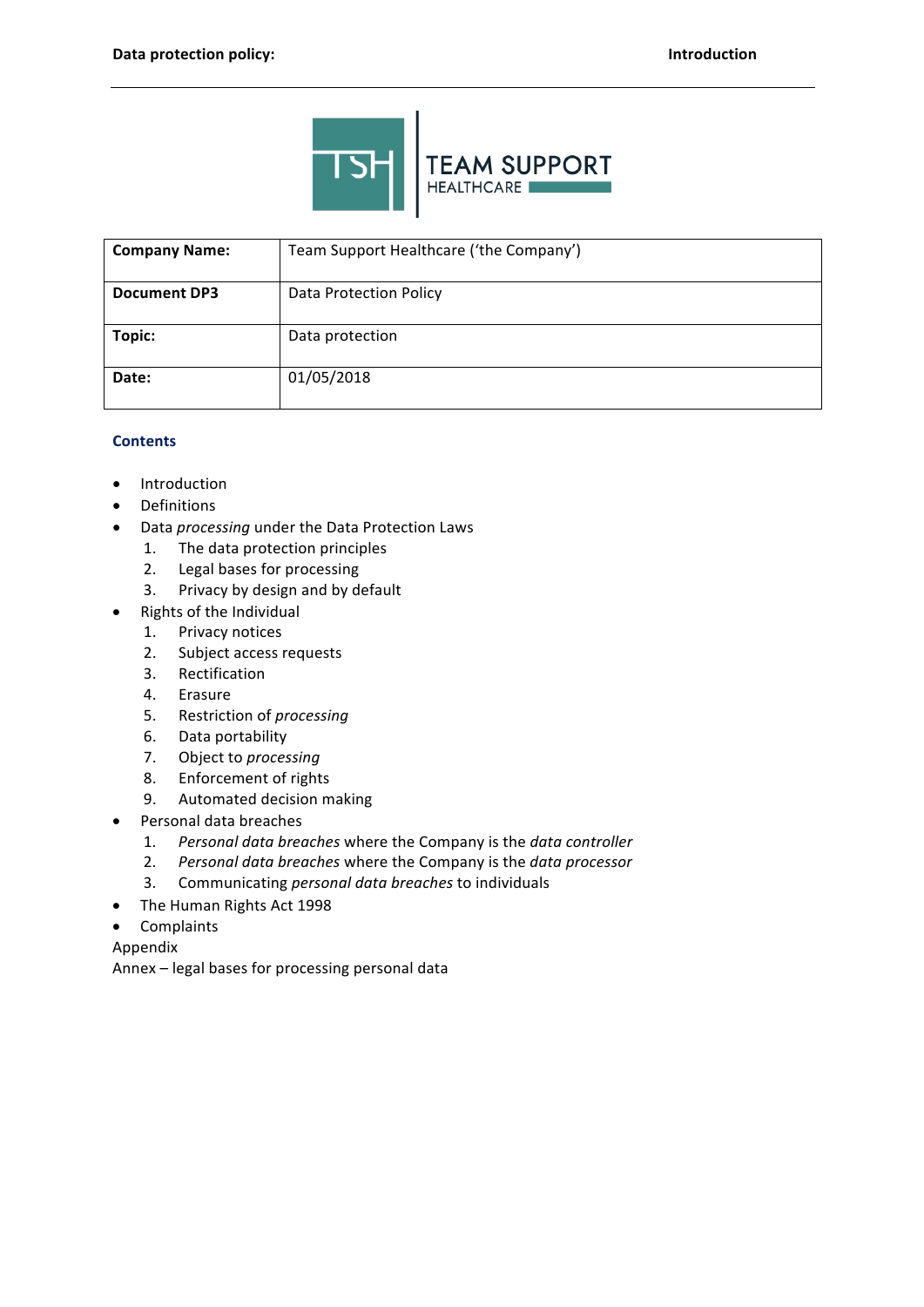

| <b>Company Name:</b> | Team Support Healthcare ('the Company') |
|----------------------|-----------------------------------------|
| <b>Document DP3</b>  | <b>Data Protection Policy</b>           |
| Topic:               | Data protection                         |
| Date:                | 01/05/2018                              |

# **Contents**

- Introduction  $\bullet$
- Definitions  $\bullet$
- Data processing under the Data Protection Laws
	- $1.$ The data protection principles
	- $2.$ Legal bases for processing
	- Privacy by design and by default  $3<sub>1</sub>$
- Rights of the Individual  $\bullet$ 
	- Privacy notices  $1.$
	- $2.$ Subject access requests
	- $3.$ Rectification
	- 4. Erasure
	- 5. Restriction of processing
	- 6. Data portability
	- $7.$ Object to processing
	- 8. Enforcement of rights
	- 9. Automated decision making
- Personal data breaches
	- Personal data breaches where the Company is the data controller  $1.$
	- $2.$ Personal data breaches where the Company is the data processor
	- $3.$ Communicating personal data breaches to individuals
- The Human Rights Act 1998
- Complaints  $\bullet$

## Appendix

Annex - legal bases for processing personal data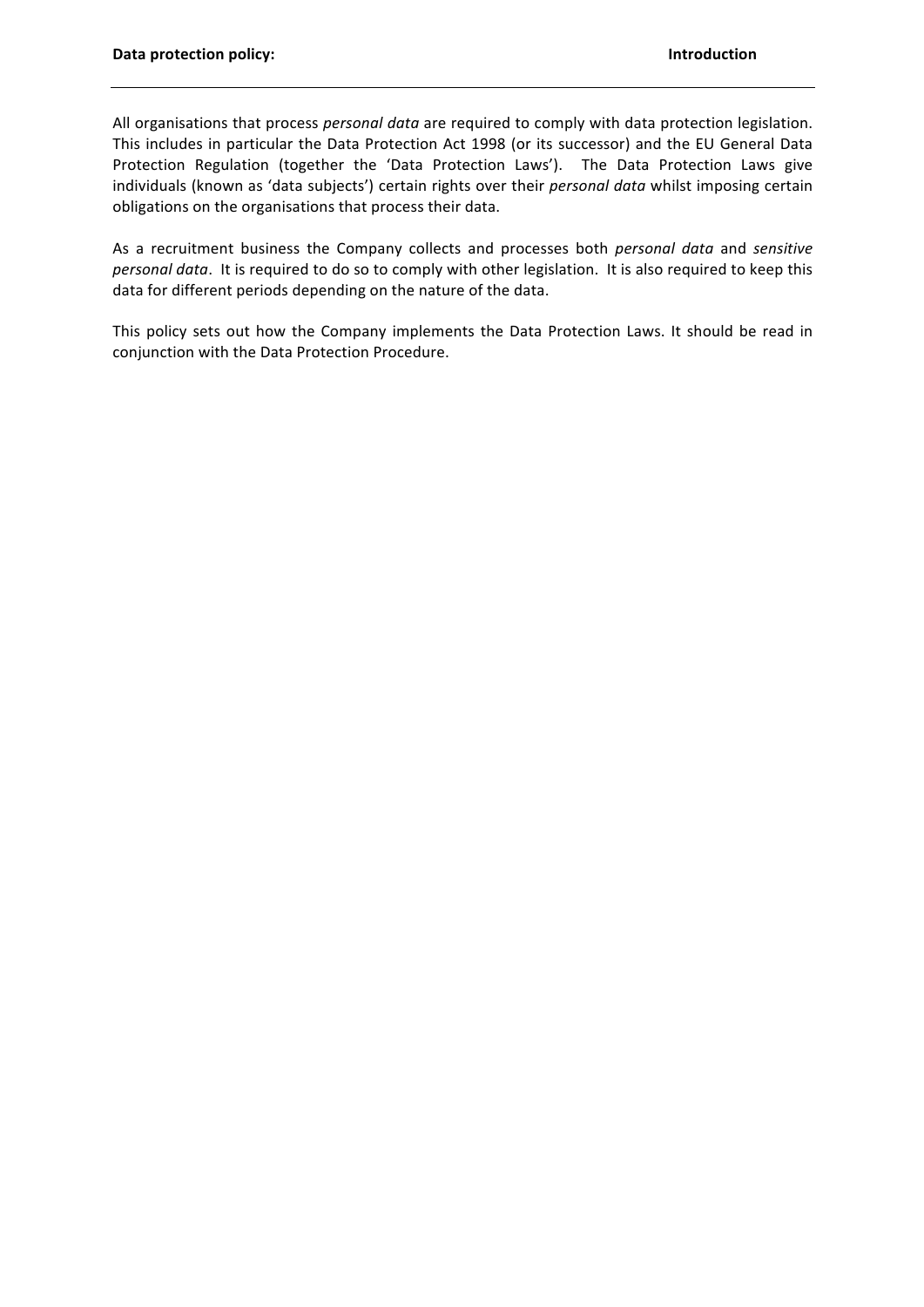All organisations that process personal data are required to comply with data protection legislation. This includes in particular the Data Protection Act 1998 (or its successor) and the EU General Data Protection Regulation (together the 'Data Protection Laws'). The Data Protection Laws give individuals (known as 'data subjects') certain rights over their personal data whilst imposing certain obligations on the organisations that process their data.

As a recruitment business the Company collects and processes both personal data and sensitive personal data. It is required to do so to comply with other legislation. It is also required to keep this data for different periods depending on the nature of the data.

This policy sets out how the Company implements the Data Protection Laws. It should be read in conjunction with the Data Protection Procedure.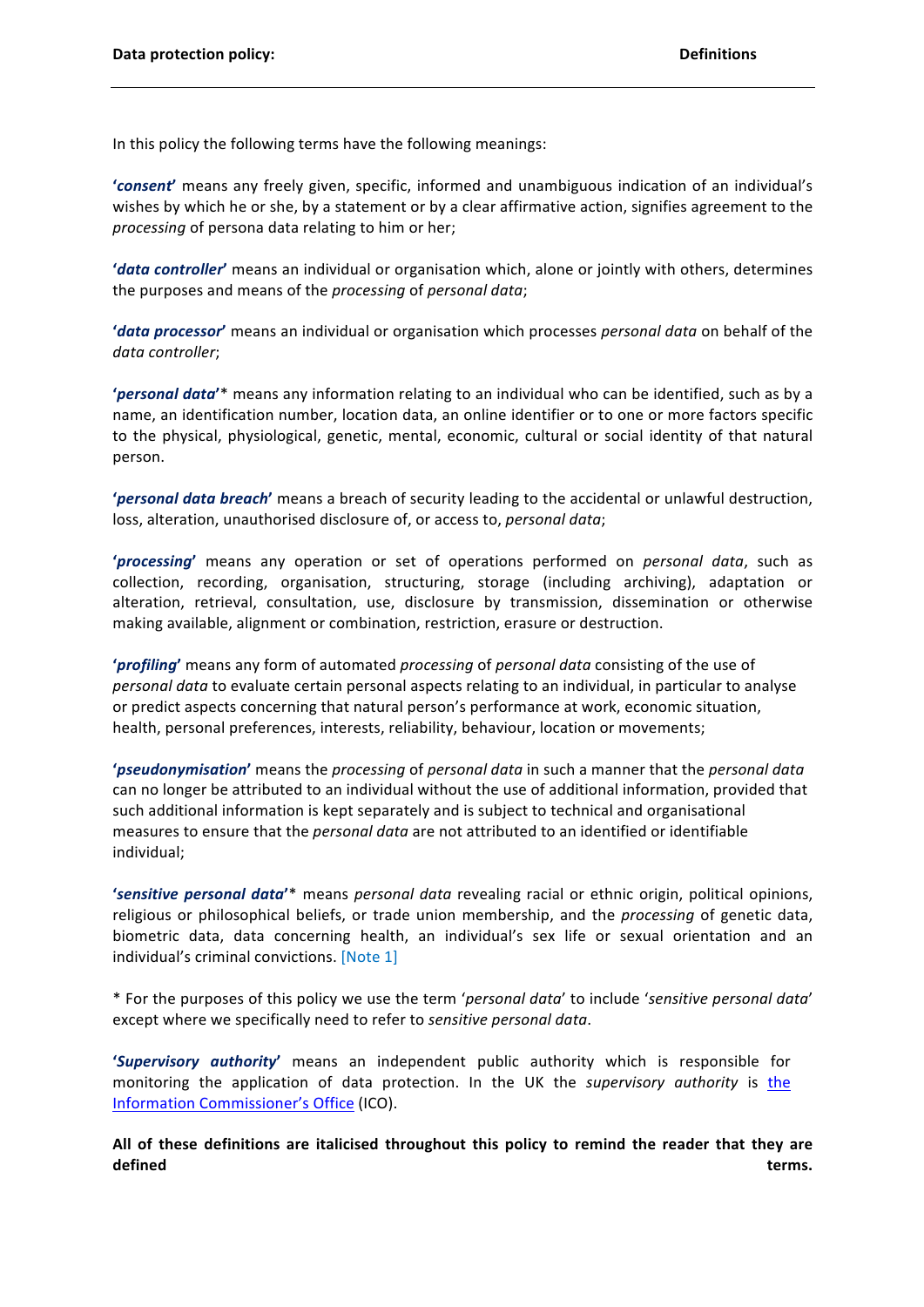In this policy the following terms have the following meanings:

'consent' means any freely given, specific, informed and unambiguous indication of an individual's wishes by which he or she, by a statement or by a clear affirmative action, signifies agreement to the processing of persona data relating to him or her;

'data controller' means an individual or organisation which, alone or jointly with others, determines the purposes and means of the processing of personal data;

'data processor' means an individual or organisation which processes personal data on behalf of the data controller:

'personal data'\* means any information relating to an individual who can be identified, such as by a name, an identification number, location data, an online identifier or to one or more factors specific to the physical, physiological, genetic, mental, economic, cultural or social identity of that natural person.

'personal data breach' means a breach of security leading to the accidental or unlawful destruction, loss, alteration, unauthorised disclosure of, or access to, personal data;

'processing' means any operation or set of operations performed on *personal data*, such as collection, recording, organisation, structuring, storage (including archiving), adaptation or alteration, retrieval, consultation, use, disclosure by transmission, dissemination or otherwise making available, alignment or combination, restriction, erasure or destruction.

'profiling' means any form of automated processing of personal data consisting of the use of personal data to evaluate certain personal aspects relating to an individual, in particular to analyse or predict aspects concerning that natural person's performance at work, economic situation, health, personal preferences, interests, reliability, behaviour, location or movements;

'pseudonymisation' means the processing of personal data in such a manner that the personal data can no longer be attributed to an individual without the use of additional information, provided that such additional information is kept separately and is subject to technical and organisational measures to ensure that the personal data are not attributed to an identified or identifiable individual;

'sensitive personal data'\* means personal data revealing racial or ethnic origin, political opinions, religious or philosophical beliefs, or trade union membership, and the *processing* of genetic data, biometric data, data concerning health, an individual's sex life or sexual orientation and an individual's criminal convictions. [Note 1]

\* For the purposes of this policy we use the term 'personal data' to include 'sensitive personal data' except where we specifically need to refer to sensitive personal data.

'Supervisory authority' means an independent public authority which is responsible for monitoring the application of data protection. In the UK the supervisory authority is the Information Commissioner's Office (ICO).

All of these definitions are italicised throughout this policy to remind the reader that they are defined terms.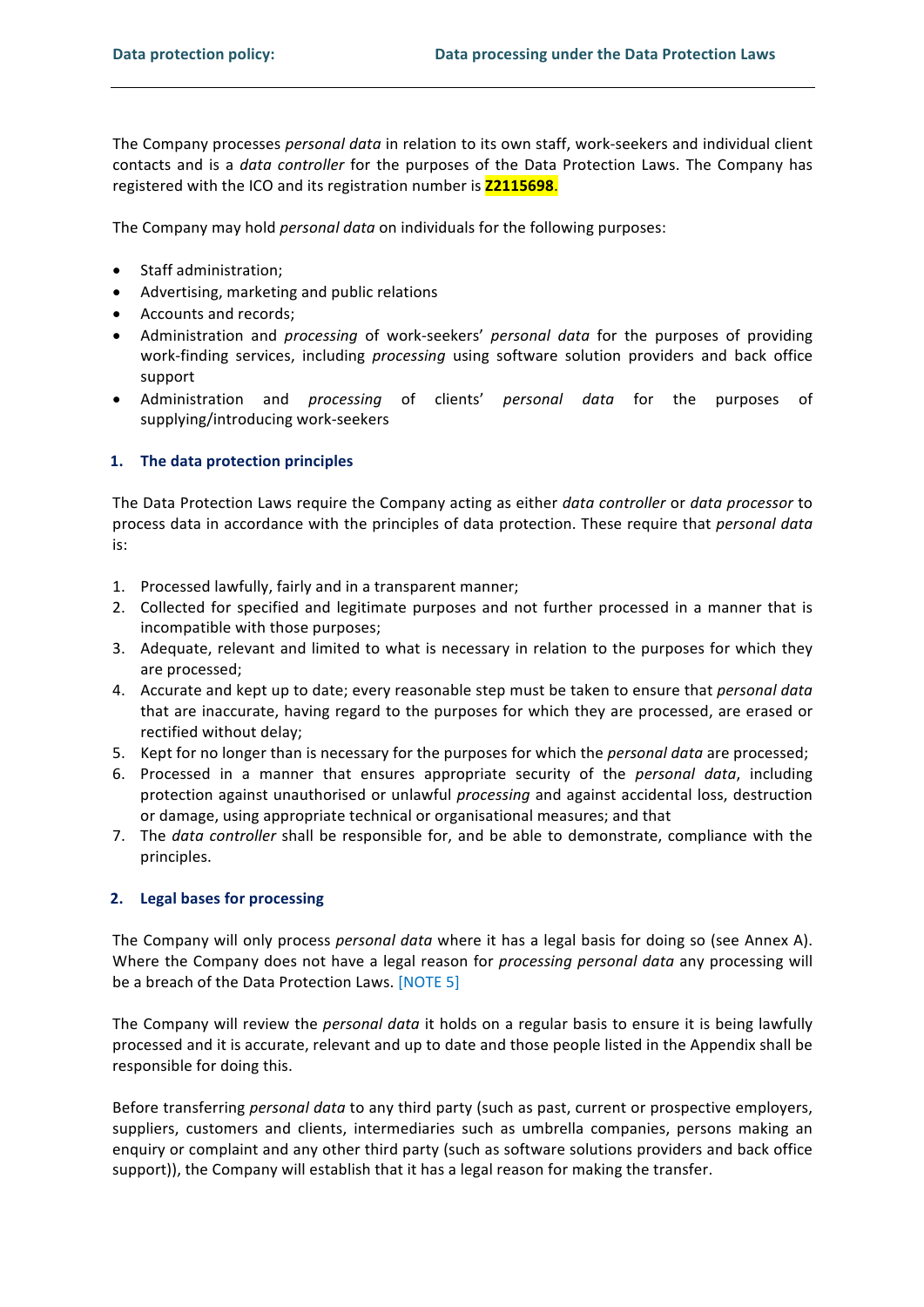The Company processes personal data in relation to its own staff, work-seekers and individual client contacts and is a *data controller* for the purposes of the Data Protection Laws. The Company has registered with the ICO and its registration number is **Z2115698**.

The Company may hold *personal data* on individuals for the following purposes:

- Staff administration;
- Advertising, marketing and public relations
- Accounts and records;
- Administration and *processing* of work-seekers' personal data for the purposes of providing work-finding services, including processing using software solution providers and back office support
- Administration and *processing* of clients' *personal data* for the purposes of supplying/introducing work-seekers

### 1. The data protection principles

The Data Protection Laws require the Company acting as either data controller or data processor to process data in accordance with the principles of data protection. These require that personal data is:

- 1. Processed lawfully, fairly and in a transparent manner;
- 2. Collected for specified and legitimate purposes and not further processed in a manner that is incompatible with those purposes;
- 3. Adequate, relevant and limited to what is necessary in relation to the purposes for which they are processed;
- 4. Accurate and kept up to date; every reasonable step must be taken to ensure that *personal data* that are inaccurate, having regard to the purposes for which they are processed, are erased or rectified without delay;
- 5. Kept for no longer than is necessary for the purposes for which the *personal data* are processed;
- 6. Processed in a manner that ensures appropriate security of the *personal data*, including protection against unauthorised or unlawful processing and against accidental loss, destruction or damage, using appropriate technical or organisational measures; and that
- 7. The data controller shall be responsible for, and be able to demonstrate, compliance with the principles.

### 2. Legal bases for processing

The Company will only process personal data where it has a legal basis for doing so (see Annex A). Where the Company does not have a legal reason for processing personal data any processing will be a breach of the Data Protection Laws. [NOTE 5]

The Company will review the *personal data* it holds on a regular basis to ensure it is being lawfully processed and it is accurate, relevant and up to date and those people listed in the Appendix shall be responsible for doing this.

Before transferring personal data to any third party (such as past, current or prospective employers, suppliers, customers and clients, intermediaries such as umbrella companies, persons making an enguiry or complaint and any other third party (such as software solutions providers and back office support)), the Company will establish that it has a legal reason for making the transfer.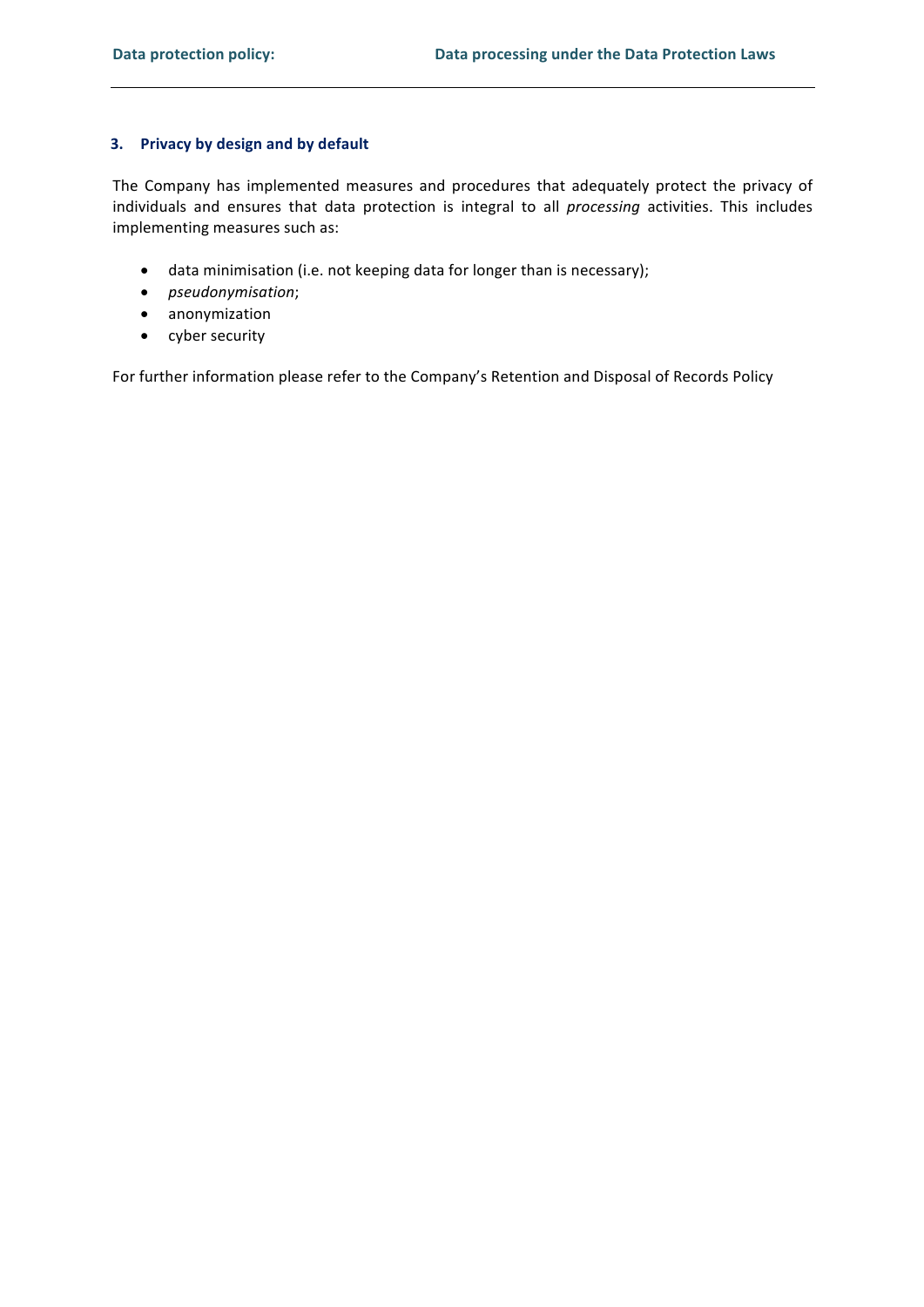## 3. Privacy by design and by default

The Company has implemented measures and procedures that adequately protect the privacy of individuals and ensures that data protection is integral to all processing activities. This includes implementing measures such as:

- data minimisation (i.e. not keeping data for longer than is necessary);
- pseudonymisation;
- anonymization
- cyber security

For further information please refer to the Company's Retention and Disposal of Records Policy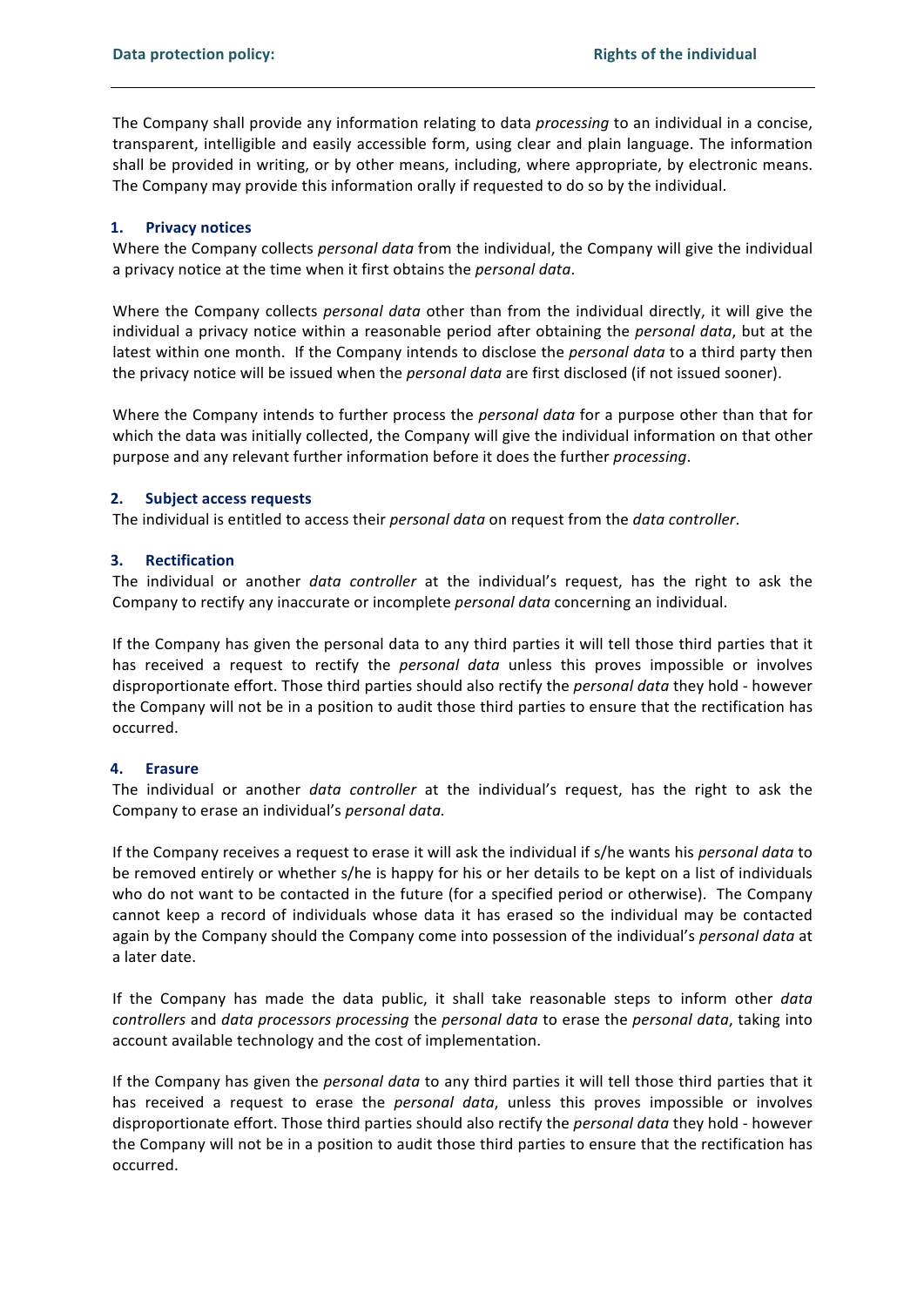The Company shall provide any information relating to data *processing* to an individual in a concise, transparent, intelligible and easily accessible form, using clear and plain language. The information shall be provided in writing, or by other means, including, where appropriate, by electronic means. The Company may provide this information orally if requested to do so by the individual.

#### **Privacy notices**  $1.$

Where the Company collects *personal data* from the individual, the Company will give the individual a privacy notice at the time when it first obtains the *personal data*.

Where the Company collects *personal data* other than from the individual directly, it will give the individual a privacy notice within a reasonable period after obtaining the personal data, but at the latest within one month. If the Company intends to disclose the *personal data* to a third party then the privacy notice will be issued when the *personal data* are first disclosed (if not issued sooner).

Where the Company intends to further process the personal data for a purpose other than that for which the data was initially collected, the Company will give the individual information on that other purpose and any relevant further information before it does the further *processing*.

#### $2.$ **Subject access requests**

The individual is entitled to access their personal data on request from the data controller.

#### $3.$ **Rectification**

The individual or another *data controller* at the individual's request, has the right to ask the Company to rectify any inaccurate or incomplete personal data concerning an individual.

If the Company has given the personal data to any third parties it will tell those third parties that it has received a request to rectify the *personal data* unless this proves impossible or involves disproportionate effort. Those third parties should also rectify the *personal data* they hold - however the Company will not be in a position to audit those third parties to ensure that the rectification has occurred.

#### 4. **Erasure**

The individual or another *data controller* at the individual's request, has the right to ask the Company to erase an individual's personal data.

If the Company receives a request to erase it will ask the individual if s/he wants his personal data to be removed entirely or whether s/he is happy for his or her details to be kept on a list of individuals who do not want to be contacted in the future (for a specified period or otherwise). The Company cannot keep a record of individuals whose data it has erased so the individual may be contacted again by the Company should the Company come into possession of the individual's personal data at a later date.

If the Company has made the data public, it shall take reasonable steps to inform other data controllers and data processors processing the personal data to erase the personal data, taking into account available technology and the cost of implementation.

If the Company has given the *personal data* to any third parties it will tell those third parties that it has received a request to erase the *personal data*, unless this proves impossible or involves disproportionate effort. Those third parties should also rectify the *personal data* they hold - however the Company will not be in a position to audit those third parties to ensure that the rectification has occurred.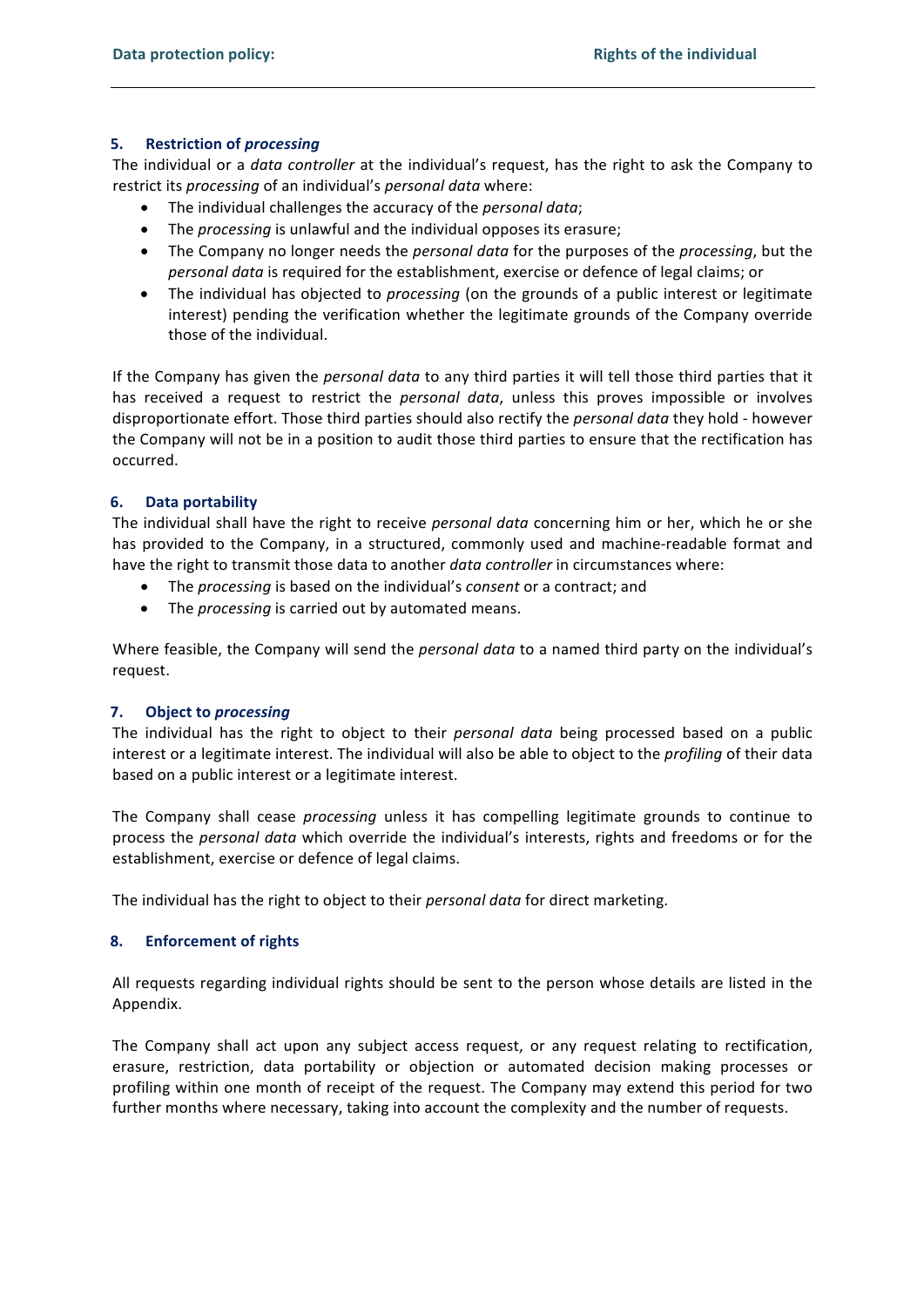#### $5.$ **Restriction of processing**

The individual or a *data controller* at the individual's request, has the right to ask the Company to restrict its processing of an individual's personal data where:

- The individual challenges the accuracy of the *personal data*;
- The processing is unlawful and the individual opposes its erasure;
- The Company no longer needs the *personal data* for the purposes of the *processing*, but the personal data is required for the establishment, exercise or defence of legal claims; or
- The individual has objected to *processing* (on the grounds of a public interest or legitimate interest) pending the verification whether the legitimate grounds of the Company override those of the individual.

If the Company has given the *personal data* to any third parties it will tell those third parties that it has received a request to restrict the personal data, unless this proves impossible or involves disproportionate effort. Those third parties should also rectify the *personal data* they hold - however the Company will not be in a position to audit those third parties to ensure that the rectification has occurred.

#### **Data portability** 6.

The individual shall have the right to receive personal data concerning him or her, which he or she has provided to the Company, in a structured, commonly used and machine-readable format and have the right to transmit those data to another *data controller* in circumstances where:

- The processing is based on the individual's consent or a contract; and
- The processing is carried out by automated means.

Where feasible, the Company will send the *personal data* to a named third party on the individual's request.

#### 7. **Object to processing**

The individual has the right to object to their *personal data* being processed based on a public interest or a legitimate interest. The individual will also be able to object to the profiling of their data based on a public interest or a legitimate interest.

The Company shall cease *processing* unless it has compelling legitimate grounds to continue to process the personal data which override the individual's interests, rights and freedoms or for the establishment, exercise or defence of legal claims.

The individual has the right to object to their personal data for direct marketing.

#### 8. **Enforcement of rights**

All requests regarding individual rights should be sent to the person whose details are listed in the Appendix.

The Company shall act upon any subject access request, or any request relating to rectification, erasure, restriction, data portability or objection or automated decision making processes or profiling within one month of receipt of the request. The Company may extend this period for two further months where necessary, taking into account the complexity and the number of requests.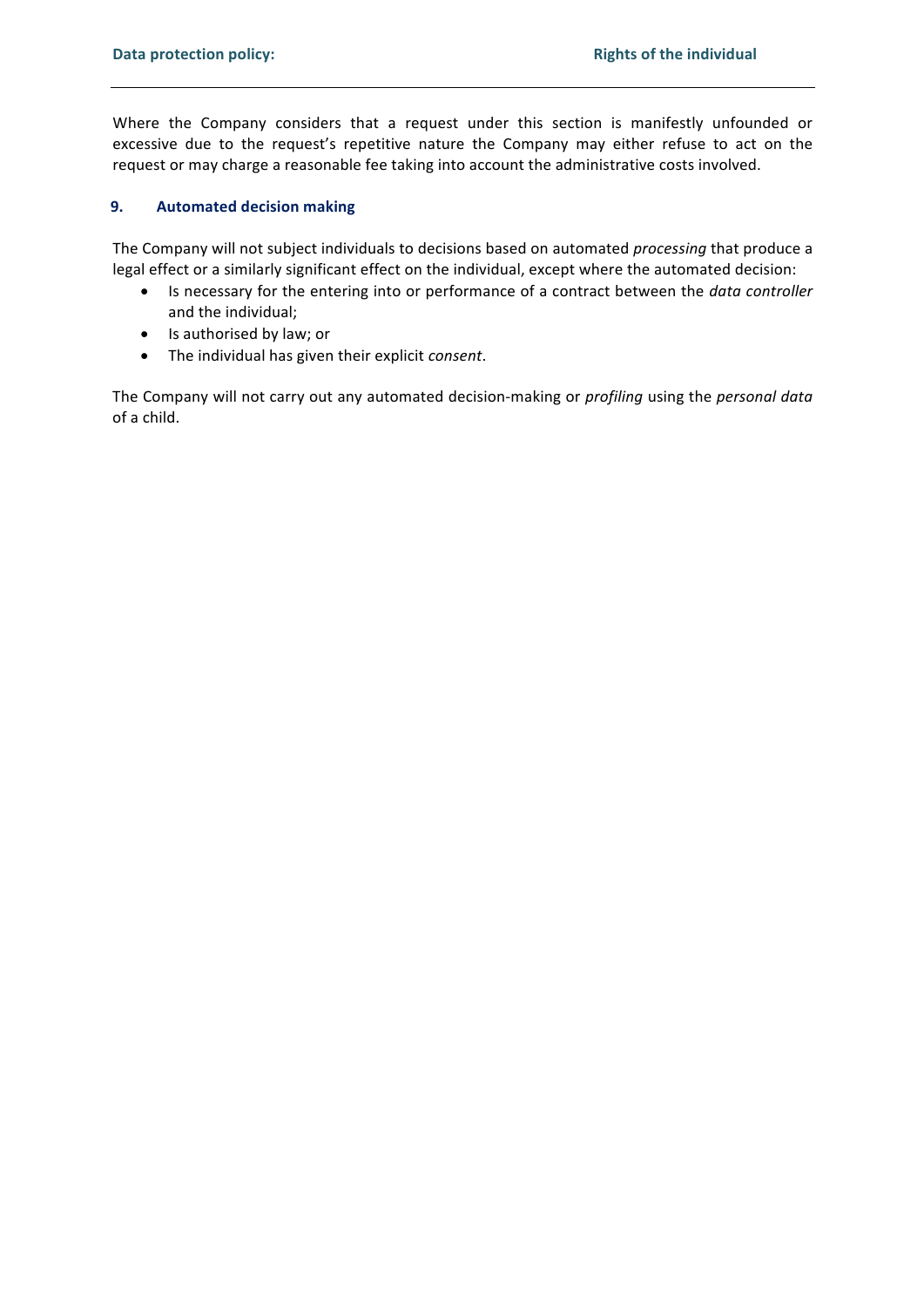Where the Company considers that a request under this section is manifestly unfounded or excessive due to the request's repetitive nature the Company may either refuse to act on the request or may charge a reasonable fee taking into account the administrative costs involved.

#### 9. **Automated decision making**

The Company will not subject individuals to decisions based on automated processing that produce a legal effect or a similarly significant effect on the individual, except where the automated decision:

- Is necessary for the entering into or performance of a contract between the *data controller*  $\bullet$ and the individual;
- Is authorised by law; or
- The individual has given their explicit consent.  $\bullet$

The Company will not carry out any automated decision-making or profiling using the personal data of a child.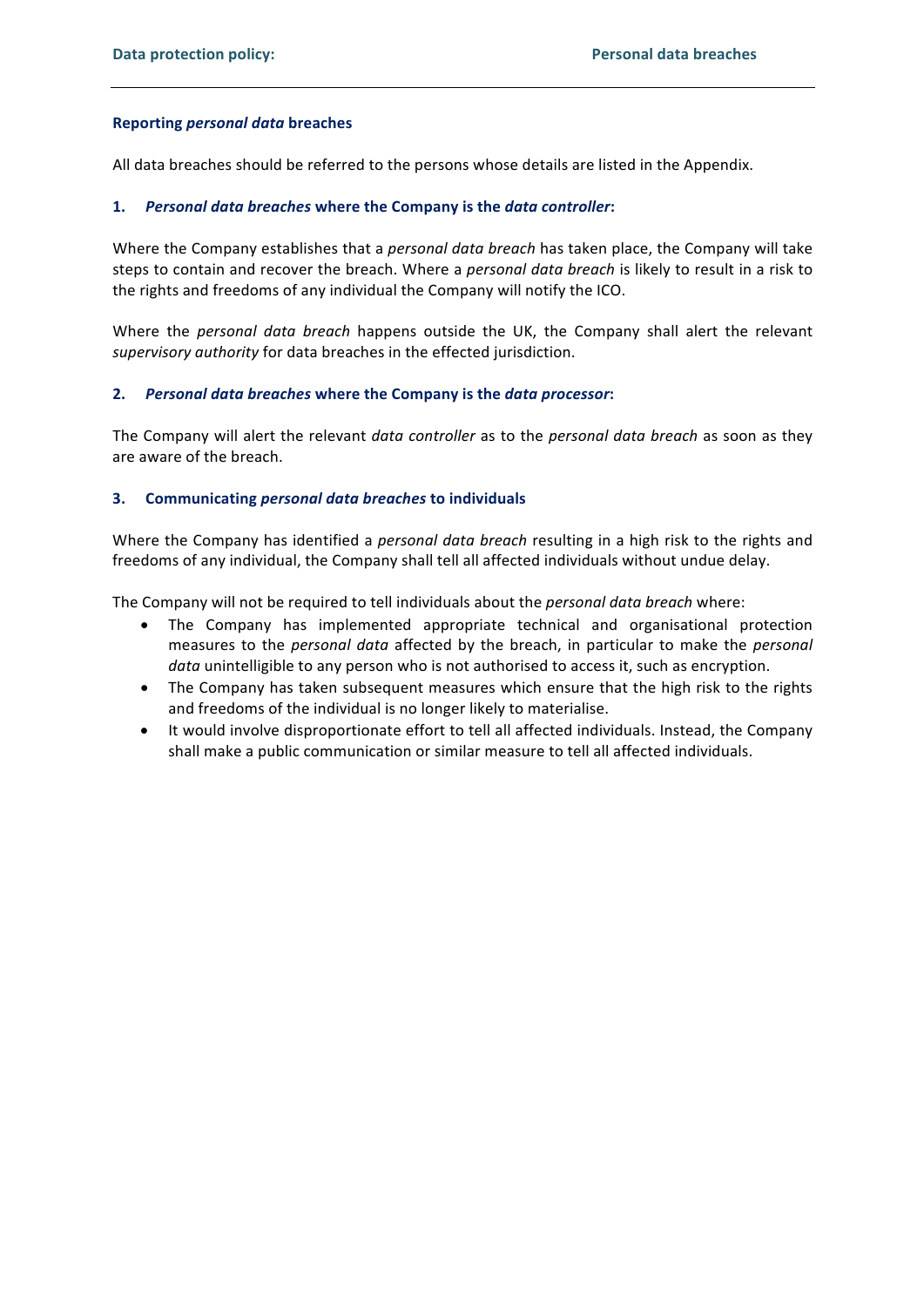### **Reporting personal data breaches**

All data breaches should be referred to the persons whose details are listed in the Appendix.

## 1. Personal data breaches where the Company is the data controller:

Where the Company establishes that a *personal data breach* has taken place, the Company will take steps to contain and recover the breach. Where a *personal data breach* is likely to result in a risk to the rights and freedoms of any individual the Company will notify the ICO.

Where the personal data breach happens outside the UK, the Company shall alert the relevant supervisory authority for data breaches in the effected jurisdiction.

## 2. Personal data breaches where the Company is the data processor:

The Company will alert the relevant data controller as to the personal data breach as soon as they are aware of the breach.

## 3. Communicating personal data breaches to individuals

Where the Company has identified a personal data breach resulting in a high risk to the rights and freedoms of any individual, the Company shall tell all affected individuals without undue delay.

The Company will not be required to tell individuals about the personal data breach where:

- The Company has implemented appropriate technical and organisational protection  $\bullet$ measures to the personal data affected by the breach, in particular to make the personal data unintelligible to any person who is not authorised to access it, such as encryption.
- The Company has taken subsequent measures which ensure that the high risk to the rights and freedoms of the individual is no longer likely to materialise.
- It would involve disproportionate effort to tell all affected individuals. Instead, the Company  $\bullet$ shall make a public communication or similar measure to tell all affected individuals.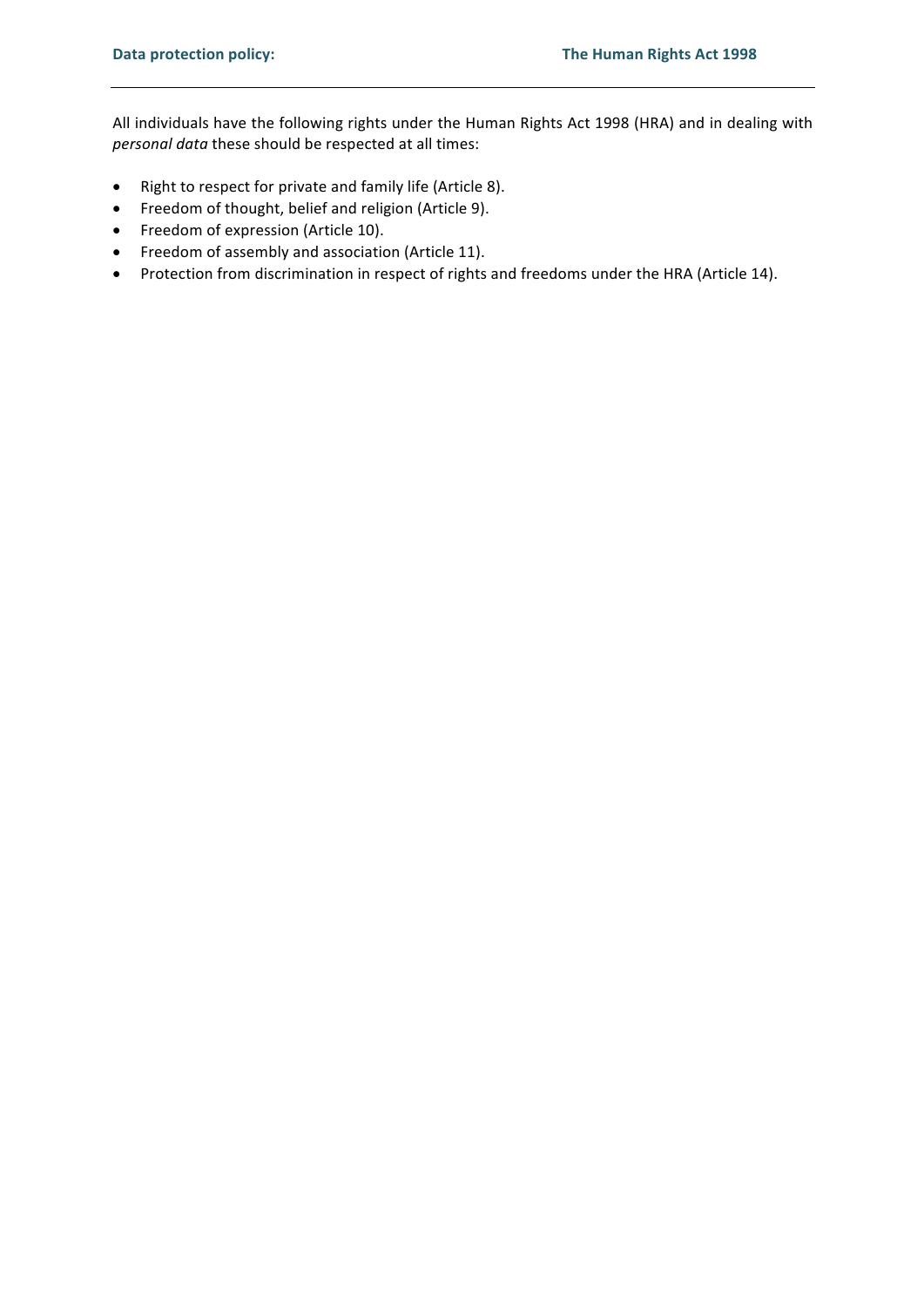All individuals have the following rights under the Human Rights Act 1998 (HRA) and in dealing with personal data these should be respected at all times:

- Right to respect for private and family life (Article 8).  $\bullet$
- Freedom of thought, belief and religion (Article 9).
- Freedom of expression (Article 10).
- Freedom of assembly and association (Article 11).
- Protection from discrimination in respect of rights and freedoms under the HRA (Article 14).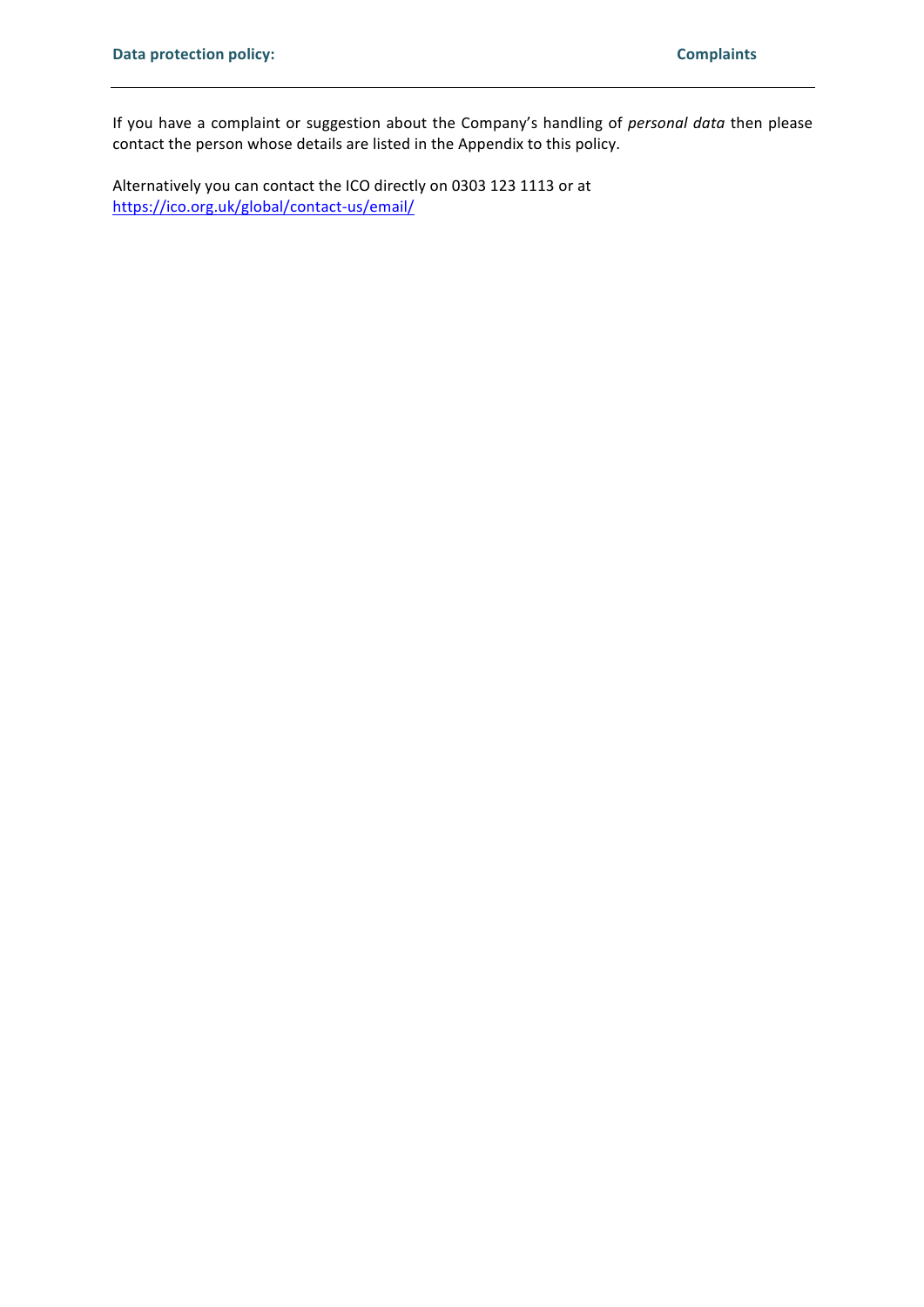If you have a complaint or suggestion about the Company's handling of personal data then please contact the person whose details are listed in the Appendix to this policy.

Alternatively you can contact the ICO directly on 0303 123 1113 or at https://ico.org.uk/global/contact-us/email/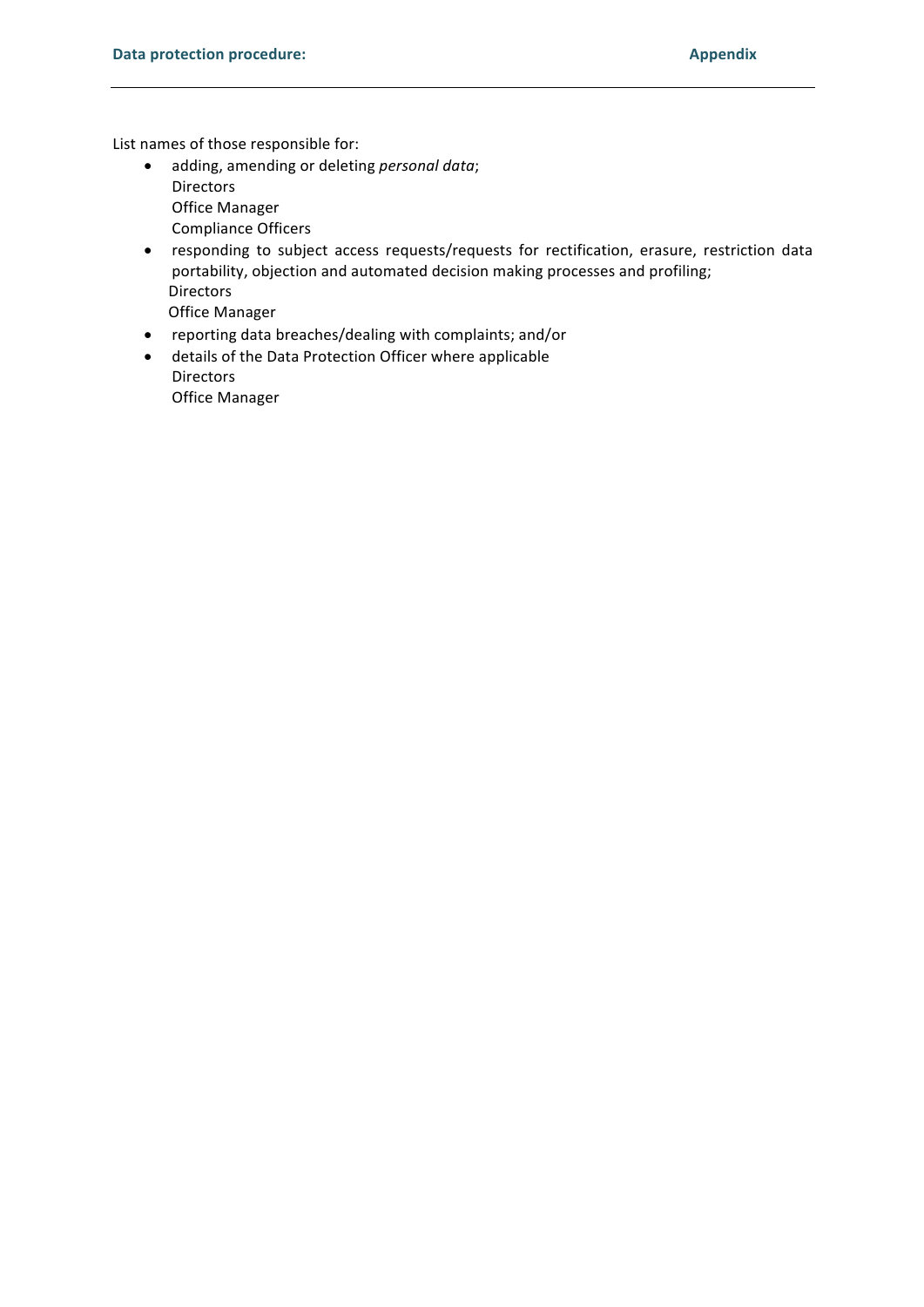List names of those responsible for:

- · adding, amending or deleting personal data; **Directors Office Manager Compliance Officers**
- responding to subject access requests/requests for rectification, erasure, restriction data portability, objection and automated decision making processes and profiling; **Directors**

Office Manager

- reporting data breaches/dealing with complaints; and/or
- details of the Data Protection Officer where applicable Directors **Office Manager**